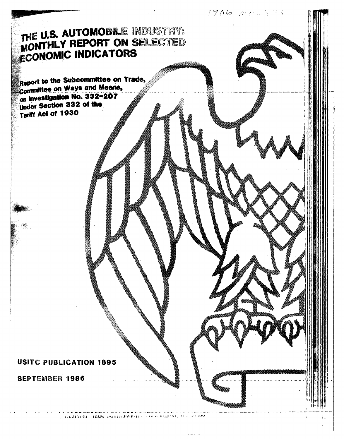THE U.S. AUTOMOBILE INDUSTRY: **WONTHLY REPORT ON SELECTED ECONOMIC INDICATORS** 

 $1706$  Me

Report to the Subcommittee on Trade, Committee on Ways and Means, on Investigation No. 332-207 Under Section 332 of the Tartit Act of 1930

# **USITC PUBLICATION 1895**

SEPTEMBER 1986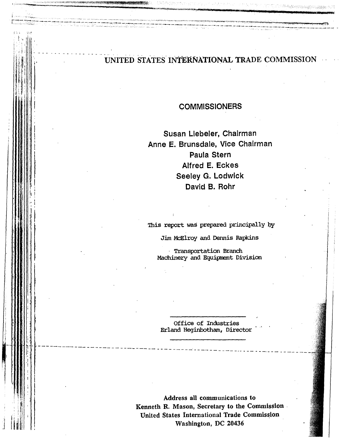### . - ·- . -.. . . UNITED STATES- INTERNATIONAL TRADE COMMISSION

------ -----------·~---------- ------------------------------------------- -

i (-11-01 - - - opera<sub>tion</sub>

 $\|\cdot\|$  $\|\cdot\|$  $\parallel$   $\parallel$ i ! **I l : ! : ! !** 

 $\parallel$ 

 $\prod_{i=1}^N$  $\frac{1}{2}$  : I •'I

 $\parallel \, \parallel$  $\prod_{i=1}^n$ "1

1. I i I

;·: 'i . ' I

! i

:<br>|<br>|<br>|<br>|<br>|<br>|

h: .. ----------------··------

r---- *r•·--* ·"-•"··-~-""----

[ ---------·---~-:- ------------------·-- --=-·~·--·,. ~~'---· -

r letak di kililiya da kalendar da kalendar da kalendar da kalendar da kalendar da kalendar da kalendar da kal<br>Tanzan

**COMMISSIONERS** 

Susan Liebeler, Chairman Anne E. Brunsdale, Vice Chairman Paula Stern Alfred E. Eckes Seeley G. Lodwick David 8. Rohr

This report was prepared principally by

Jim McElroy and Dennis Rapkins

· Transportation Branch Machinery and Equipment Division

Office of Industries Erland Heginbotham, Director

----------- ---- - - - - - -- --- - - \_\_\_\_ .., \_\_\_\_\_\_\_\_\_ \_

Address all communications to Kenneth R. Mason, Secretary to the Commission . United States International Trade Commission Washington, DC 20436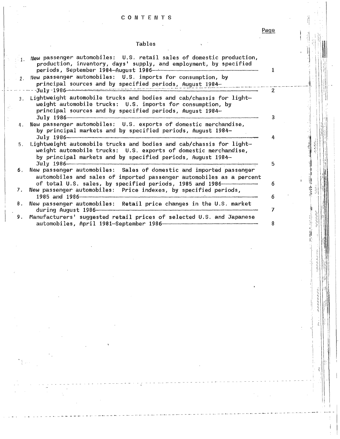## CONTENTS

## **Tables**

Page

ă

 $\mathcal{O}_{\mathcal{A}}$ 

| $\cdot$ 1.     | New passenger automobiles: U.S. retail sales of domestic production,<br>production, inventory, days' supply, and employment, by specified<br>periods, September 1984-August 1986-                                                                                                                                                                            |  |
|----------------|--------------------------------------------------------------------------------------------------------------------------------------------------------------------------------------------------------------------------------------------------------------------------------------------------------------------------------------------------------------|--|
| 2.1            | New passenger automobiles: U.S. imports for consumption, by<br>principal sources and by specified periods, August 1984-<br>$-J$ u 1 $y$ - 1 $986$ ) consistential construction of the construction of the construction of the construction of the construction of the construction of the construction of the construction of the construction of the constr |  |
| 3 <sub>1</sub> | Lightweight automobile trucks and bodies and cab/chassis for light-<br>weight automobile trucks: U.S. imports for consumption, by<br>principal sources and by specified periods, August 1984-<br>$\textstyle\overline{\mathrm{J} \mathrm{u} \mathrm{1} \mathrm{y}}$                                                                                          |  |
| 4.             | New passenger automobiles: U.S. exports of domestic merchandise,<br>by principal markets and by specified periods, August 1984-                                                                                                                                                                                                                              |  |
| 5.             | Lightweight automobile trucks and bodies and cab/chassis for light-<br>weight automobile trucks: U.S. exports of domestic merchandise,<br>by principal markets and by specified periods, August 1984-<br>$\textcolor{red}{\textbf{Ju1y}} \textbf{1986}$                                                                                                      |  |
| 6.             | New passenger automobiles: Sales of domestic and imported passenger<br>automobiles and sales of imported passenger automobiles as a percent<br>of total U.S. sales, by specified periods, 1985 and 1986                                                                                                                                                      |  |
| 7.             | New passenger automobiles: Price indexes, by specified periods,                                                                                                                                                                                                                                                                                              |  |
| 8.             | New passenger automobiles: Retail price changes in the U.S. market                                                                                                                                                                                                                                                                                           |  |
| 9.             | Manufacturers' suggested retail prices of selected U.S. and Japanese                                                                                                                                                                                                                                                                                         |  |

ś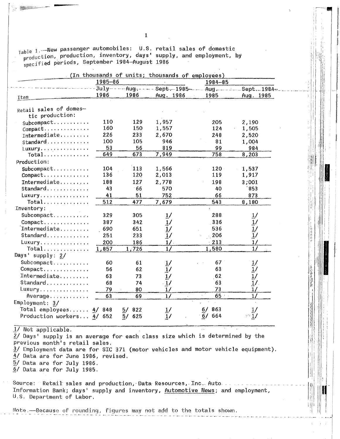|  | $_{\text{Table 1}}$ --New passenger automobiles: $\,$ U.S. retail sales of domestic |  |  |  |
|--|-------------------------------------------------------------------------------------|--|--|--|
|  | production, production, inventory, days' supply, and employment, by                 |  |  |  |
|  | specified periods, September 1984-August 1986                                       |  |  |  |

|                                           | 1985-86         |           |                                                                                         | 1984-85   |                                    |
|-------------------------------------------|-----------------|-----------|-----------------------------------------------------------------------------------------|-----------|------------------------------------|
|                                           | $Ju - 1y - - -$ |           | $-$ Aug <sub>7</sub> - - - - Sept <sub>7</sub> - 1985 - - - Aug - - - - - Sept - 1984 - |           |                                    |
| Item                                      | 1986            | 1986      | Aug. 1986                                                                               | 1985      | Aug. 1985                          |
| Retail sales of domes-<br>tic production: |                 |           |                                                                                         |           |                                    |
|                                           | 110             | 129       | 1,957                                                                                   | 205       | 2,190                              |
| Compact                                   | 160             | 150       | 1,557                                                                                   | 124       | 1,505                              |
| $Intermediate \ldots$                     | 226             | 233       | 2,670                                                                                   | 248       | 2,520                              |
| Standard                                  | 100             | 105       | 946                                                                                     | 81        | 1,004                              |
| Luxury.                                   | 53              | 56        | 819                                                                                     | 99        | 984                                |
| Total                                     | 649             | 673       | 7,949                                                                                   | 758       | 8,203                              |
| Production:                               |                 |           |                                                                                         |           |                                    |
| $Subcompact$                              | 104             | 113       | 1,566                                                                                   | $120 -$   | 1,537                              |
| Compact                                   | 136             | 120       | 2,013                                                                                   | 119       | 1,917                              |
| Intermediate                              | 188             | 127       | 2,778                                                                                   | 198       | 3;001                              |
| Standard, , , ,                           | 43              | 66        | 570                                                                                     | 40        | 853                                |
| Luxury                                    | 41              | 51        | 752                                                                                     | 66        | 873                                |
| Total                                     | 512             | 477       | 7,679                                                                                   | 543       | 8,180                              |
| Inventory:                                |                 |           |                                                                                         |           |                                    |
| Subcompact                                | 329             | 305       | $\frac{1}{2}$                                                                           | 288       | $\vec{r}$                          |
| Compact                                   | 387             | 342       | $\overline{1}$ /                                                                        | 336       |                                    |
| Intermediate                              | 690             | 651       | $\frac{1}{2}$                                                                           | 536       |                                    |
| Standard                                  | 251             | 233       | $\overline{1}$ /                                                                        | 206       | $\frac{1}{1}$ /<br>$\frac{1}{1}$ / |
| Luxury                                    | 200             | 186       | 1/                                                                                      | 213       | 1/                                 |
| Total                                     | 1,857           | 1,726     | $1/\sqrt{2}$                                                                            | 1,580     | 1/                                 |
| Days' supply: 2/                          |                 |           |                                                                                         |           |                                    |
|                                           | 60              | 61        | $\frac{1}{2}$                                                                           | 67        |                                    |
| Compact                                   | 56              | 62        | $\overline{1}$ /                                                                        | 63        | $\frac{1}{1}$ /                    |
| Intermediate                              | 63              | 73        | $\frac{1}{2}$                                                                           | 62        |                                    |
| Standard                                  | 68              | 74        | $\cdot$ 1/                                                                              | 63        | $\frac{1}{1}$ /                    |
| Luxury                                    | 79              | 80        | 1/                                                                                      | 73        | 1/                                 |
| Average                                   | 63              | 69        | 1/                                                                                      | 65        | 1/                                 |
| Emplogment: 3/                            |                 |           |                                                                                         |           |                                    |
| Total employees                           | 848<br>4/       | 822<br>5/ |                                                                                         | 863<br>6/ |                                    |
| Production workers 4/                     | 652             | 625<br>5/ | $\frac{1}{2}$<br>1/                                                                     | 6/<br>664 |                                    |

1/ Not applicable.

 $2/$  Days' supply is an average for each class size which is determined by the previous month's retail sales. 3/ Employment data are for SIC 371 (motor vehicles and motor vehicle equipment).

4/ Data are for June 1986, revised.

5/ Data are for July 1986.

 $6/$  Data are for July 1985.

Source: Retail sales and production, Data Resources, Inc. Auto ...... Information Bank; days' supply and inventory, Automotive News; and employment, U.S. Department of Labor.

Note.-Because of rounding, figures may not add to the totals shown.

 $\mathbf{1}$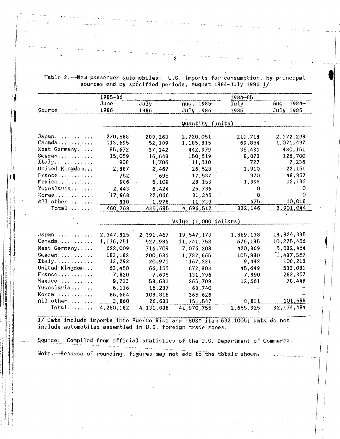Table 2. New passenger automobiles: U.S. imports for consumption, by principal sources and by specified periods, August 1984-July 1986 1/

|                | 1985-86   |           |                        | 1984-85     |                  |
|----------------|-----------|-----------|------------------------|-------------|------------------|
|                | June      | July      | 1985-<br>Aug.          | July        | $1984 -$<br>Aug. |
| Source         | 1986      | 1986      | July 1986 <sup>-</sup> | 1985        | July 1985        |
|                |           |           |                        |             |                  |
|                |           |           | Quantity (units)       |             |                  |
| Japan          | 270,588   | 289,263   | 2,720,051              | 211,713     | 2,172,298        |
| Canada         | 113,695   | 52,189    | 1,185,315              | 69,854      | 1,071,497        |
| West Germany   | 35,672    | 37,142    | 442,979                | 35,431      | 430,151          |
| Sweden         | 15,059    | 16,648    | 150,519                | 8,873       | 126,700          |
| Itally         | 908       | 1,706     | 11,510                 | 727         | 7,236            |
| United Kingdom | 2,387     | 2,467     | 26,528                 | 1,910       | 22,151           |
| France         | 752       | 695       | 12,587                 | 970         | 48,857           |
| Mexico         | 986       | 5,109     | 28,153                 | 1,993       | 12,136           |
| Yugoslavia     | 2,443     | 6,424     | 25,786                 | 0           |                  |
| Korea          | 17,968    | 22,066    | 81,345                 | $\mathbf 0$ |                  |
| All other      | 310       | 1,976     | 11,739                 | 675         | 10,018           |
| Total          | 460,768   | 435,685   | 4,696,512              | 332,146     | 3,901,044        |
|                |           |           |                        |             |                  |
|                |           |           | Value (1,000 dollars)  |             |                  |
|                |           |           |                        |             |                  |
| Japan          | 2,147,325 | 2,391,467 | 19,547,173             | 1,369,118   | 13,824,335       |
| Canada         | 1,116,751 | 527,936   | 11,741,758             | 676,135     | 10,275,456       |
| West Germany   | 622,009   | 716,709   | 7,076,208              | 420,369     | 5,532,454        |
| Sweden.        | 183,182   | 200,636   | 1,787,665              | 105,830     | 1,437,557        |
| $Itally$       | 13,292    | 20,975    | 167,231                | 9,442       | 108,218          |
| United Kingdom | 63,450    | 66,155    | 672,303                | 45,649      | 533,081          |
| France         | 7,820     | 7,695     | 131,796                | 7,390       | 283,357          |
| Mexico         | 9,713     | 53,631    | 265,708                | 12,561      | 78,448           |
| Yugoslavia     | 6,116     | 16,237    | 63,740                 |             |                  |
| Korea          | 86,664    | 103,816   | 365,626                |             |                  |
| All other      | 3,860     | 26,631    | 151,547                | 8,831       | 101,588          |
| Total          | 4,260,182 | 4,131,888 | 41,970,755             | 2,655,325   | 32, 174, 494     |
|                |           |           |                        |             |                  |

1/ Data include imports into Puerto Rico and TSUSA item 692.1005; data do not include automobiles assembled in U.S. foreign trade zones.

Source: Compiled from official statistics of the U.S. Department of Commerce.

Note. --- Because of rounding, figures may not add to the totals shown.

 $\overline{2}$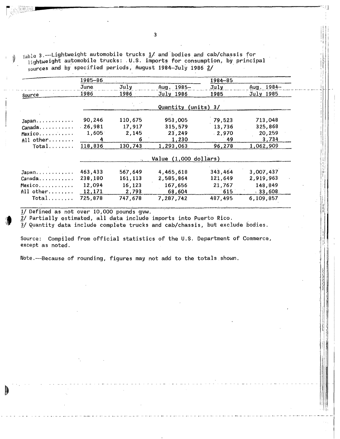Table 3. -- Lightweight automobile trucks  $1/$  and bodies and cab/chassis for lightweight automobile trucks: U.S. imports for consumption, by principal sources and by specified periods, August 1984-July 1986  $2/$ 

|             | 1985–86 |         |                       | 1984-85           |                |
|-------------|---------|---------|-----------------------|-------------------|----------------|
|             | June.   | July.   | Aug. 1985-            | July <sub>1</sub> | Aug. 1984-     |
| Source      | 1986    | 1986    | July 1986             | 1985              | July 1985      |
|             |         |         | Quantity              | $(units)$ 3/      |                |
| Japan       | 90,246  | 110,675 | 953,005               | 79,523            | 713,048        |
| Canada.     | 26,981  | 17,917  | 315,579               | 13,736            | 325,868        |
| Mexico,     | 1,605   | 2,145   | 23,249                | $-2,970$          | 20,259         |
| $All other$ |         | 6       | 1,230                 | 49                | 3,734          |
| Total       | 118,836 | 130,743 | 1,293,063             | 96,278            | 1,062,909      |
|             |         |         | Value (1,000 dollars) |                   |                |
| Japan       | 463,433 | 567,649 | 4,465,618             | 343,464           | 3,007,437      |
| Canada      | 238,180 | 161,113 | 2,585,864             | 121,649           | 2,919,963      |
| Mexico      | 12,094  | 16,123  | 167,656               | 21,767            | 148,849        |
| All other   | 12,171  | 2,793   | 68,604                | 615               | $\pm 33,608$ . |
| $Total$     | 725,878 | 747,678 | 7,287,742             | 487,495           | 6,109,857      |

1/ Defined as not over 10,000 pounds gvw.

 $2/$  Partially estimated, all data include imports into Puerto Rico.

3/ Quantity data include complete trucks and cab/chassis, but exclude bodies.

Source: Compiled from official statistics of the U.S. Department of Commerce, except as noted.

Note.---Because of rounding, figures may not add to the totals shown.

 $\overline{\mathbf{3}}$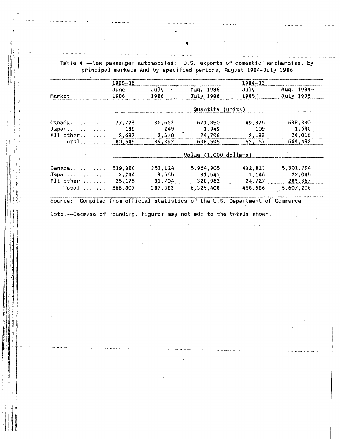Table 4.-New passenger automobiles: U.S. exports of domestic merchandise, by principal markets and by specified periods, August 1984-July 1986

|           | 1985-86 |                       |                       | $1984 - 85$ |            |
|-----------|---------|-----------------------|-----------------------|-------------|------------|
|           | June    | July<br>$\sim$ $\sim$ | Aug. 1985-            | July        | Aug. 1984- |
| Market    | 1986    | 1986                  | July 1986             | 1985        | July 1985  |
|           |         |                       | Quantity              | (units)     |            |
| Canada    | 77,723  | 36,663                | 671,850               | 49,875      | 638,830    |
| Japan     | 139     | 249                   | 1,949                 | 109         | 1,646      |
| All other | 2,687   | 2,510                 | 24,796                | 2,183       | 24,016     |
| $Total$   | 80.549  | 39,392                | 698.595               | 52,167      | 664.492    |
|           |         |                       | Value (1,000 dollars) |             |            |
| Canada    | 539,388 | 352,124               | 5,964,905             | 432,813     | 5,301,794  |
| Japan     | 2,244   | 3,555                 | 31,541                | 1,146       | 22,045     |
| All other | 25,175  | 31,704                | 328,962               | 24,727      | 283,367    |
| $Total$   | 566,807 | 387,383               | 6,325,408             | 458,686     | 5,607,206  |

Source: Compiled from official statistics of the U.S. Department of Commerce.

Note.-Because of rounding, figures may not add to the totals shown.

 $\mathbb{R}^n \times \mathbb{R}^n$ 

ÿ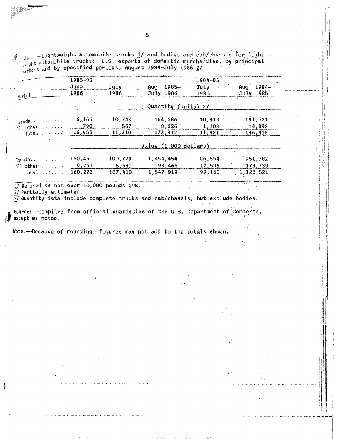Table 5. Lightweight automobile trucks 1/ and bodies and cab/chassis for lightable of the substitution of domestic merchandise, by principal partners and by specified periods, August 1984-July 1986 2/

|                                                       | 1985-86 |          |                                      | 1984-85                             |                   |
|-------------------------------------------------------|---------|----------|--------------------------------------|-------------------------------------|-------------------|
|                                                       | June    | July     | Aug. 1985-                           | July                                | Aug. 1984-        |
| Market                                                | 1986    | 1986     | July 1986                            | 1985                                | July 1985         |
|                                                       |         |          |                                      | $\mathcal{A} \subset \mathcal{A}$ . |                   |
|                                                       |         |          | Quantity (units) $3/$                |                                     |                   |
| $C$ anada                                             | 16,165  | 10,743   | 164,686                              | 10,318                              | 131,521           |
| All other                                             | 790     | 567      | 8,626                                | 1,103                               | 14,892            |
| $Total$                                               | 16,955  | 11,310   | 173,312                              | 11,421                              | 146,413           |
|                                                       |         |          |                                      |                                     |                   |
|                                                       |         |          | Value $(1,000 \cdot \text{dollars})$ |                                     | <b>CONTRACTOR</b> |
|                                                       |         |          |                                      |                                     |                   |
| $\text{Canada} \dots \dots \dots \dots \dots 150,461$ |         | 100,779  | 1,454,454                            | 86,554                              | 951,782           |
| All other                                             | 9,761   | $-6,631$ | 93,465                               | 12,596                              | 173,739           |
| Total                                                 | 160,222 | 107,410  | 1,547,919                            | 99,150                              | 1,125,521         |
|                                                       |         |          |                                      |                                     |                   |

1/Defined as not over 10,000 pounds gvw.

 $2/$  Partially estimated.

3/ Quantity data include complete trucks and cab/chassis, but exclude bodies.

Source: Compiled from official statistics of the U.S. Department of Commerce, except as noted.

 $\left\langle \cdot \right\rangle$ 

Note.-Because of rounding, figures may not add to the totals shown.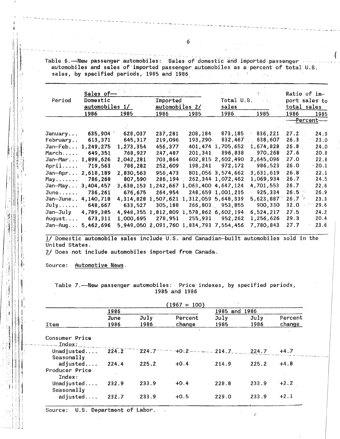Table 6.-New passenger automobiles: Sales of domestic and imported passenger automobiles and sales of imported passenger automobiles as a percent of total U.S. sales, by specified periods, 1985 and 1986 and the contract of the set of the set of the set of the set of the

|                   | Sales of-      |           |                |                                         |                      | $\mathcal{V}^{\mathcal{A}}$ , and |             | Ratio of im-  |
|-------------------|----------------|-----------|----------------|-----------------------------------------|----------------------|-----------------------------------|-------------|---------------|
| Period            | Domestic       |           | Imported       |                                         | Total U.S.           | <b>Contractor</b>                 |             | port sales to |
|                   | automobiles 1/ |           | automobiles 2/ |                                         | sales                |                                   | total sales |               |
|                   | 1986           | 1985      | 1986           | 1985                                    | 1986                 | 1985                              | 1986        | 1985          |
|                   |                |           |                |                                         |                      |                                   |             | -----Percent- |
|                   |                |           |                |                                         |                      |                                   |             |               |
| January           | 635,904        | 628,037   | 237,281        | 208,184                                 | 873,185              | 836,221                           | 27.2        | 24.9          |
| February          | 613,371        | 645,317   | 219,096        | 193,290.                                | 832,467              | 838,607                           | 26.3        | $-23.0$       |
| Jan-Feb           | 1,249,275      | 1,273,354 | 456,377        | 401,474                                 | 1,705,652            | 1,674,828                         | 26.8        | 24.0          |
| March             | 649,351        | 768,927   | 247,487        | 201,341                                 | 896,838              | 970,268                           | 27.6        | 20.8          |
| Jan-Mar 1,898,626 |                | 2,042,281 | 703,864        | 602,815                                 | 2,602,490            | 2,645,096                         | 27.0        | 22.8          |
| April             | 719,563        | 788,282   | 252,609        | 198,241                                 | 972,172              | 986,523                           | 26.0        | $-20.1$       |
| Jan-Apr 2,618,189 |                | 2.830.563 | 956,473        |                                         | 801,056 3,574,662    | 3,631,619                         | 26.8        | 22.1          |
| May 786,268       |                | 807,590   | 286,194        |                                         | 262, 344 1, 072, 462 | 1,069,934                         | 26.7        | 24.5          |
| Jan-May.          | 3,404,457      | 3,638,153 | 1,242,667      |                                         | 1,063,400,4,647,124  | 4,701,553                         | 26.7        | 22.6          |
| June              | 736,261        | 676,675   | 264,954        |                                         | 248,659 1,001,215    | 925,334                           | $26.5 -$    | 26.9          |
| $Jan-June.$ ,     | 4,140,718      | 4,314,828 | 1,507,621      |                                         | 1,312,059 5,648,339  | 5,623,887                         | 26.7        | 23.3          |
| July              | 648,667        | 633,527   | 305,188        |                                         | 266,803 953,855      | 900,330                           | 32.0        | 29.6          |
| Jan-July          | 4,789,385      | 4,948,355 | 1,812,809      | 1,578,862 6,602,194                     |                      | 6,524,217                         | 27.5        | 24.2          |
| August            | 673,311        | 1,000,695 | 278,951        |                                         | 255,931 952,262      | 1,256,626                         | 29.3        | 20.4          |
| Jan-Aug           | 5,462,696      |           |                | 5,949,050 2,091,760 1,834,793 7,554,456 |                      | 7,780,843                         | 27.7        | 23.6<br>ţ.    |

1/ Domestic automobile sales include U.S. and Canadian-built automobiles sold in the United States.

2/ Does not include automobiles imported from Canada.

Source: Automotive News.

Table 7.- New passenger automobiles: Price indexes, by specified periods, 1985 and 1986

|                                      |       |           | $(1967 = 100)$        |          |       |         |
|--------------------------------------|-------|-----------|-----------------------|----------|-------|---------|
|                                      | 1986  |           |                       | 1985 and | 1986  |         |
|                                      | June  | July      | Percent               | Ju1v     | July  | Percent |
| Item                                 | 1986  | 1986      | change                | 1985     | 1986  | change  |
| Consumer Price<br>$---Index:$        |       |           |                       |          |       |         |
| Unadjusted<br>Seasonally             | 224.2 | $224.7 -$ | $-+0.2$ - $   -214.7$ |          | 224.7 | $+4.7$  |
| adjusted<br>Producer Price<br>Index: | 224.4 | 225.2     | $+0.4$                | 214.9    | 225.2 | $+4.8$  |
| Unadjusted<br>Seasonally             | 232.9 | 233.9     | $+0.4$                | 228.8    | 233.9 | $+2.2$  |
| adjusted                             | 232.7 | 233.9     | $+0.5$                | 229.0    | 233.9 | $+2.1$  |

Source: U.S. Department of Labor.

 $\sim$   $6 - 1$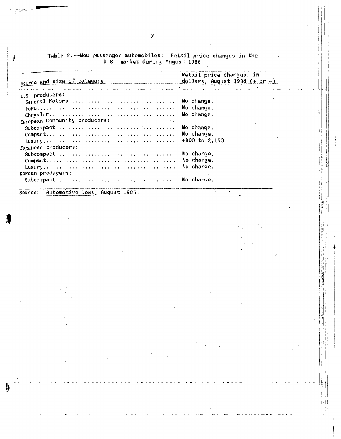|  |                                | Table 8.——New passenger automobiles: Retail price changes in the |  |  |
|--|--------------------------------|------------------------------------------------------------------|--|--|
|  | U.S. market during August 1986 |                                                                  |  |  |

| source and size of category $\frac{d}{dx}$ dollars, August 1986 (+ or -)                                               | Retail price changes, in |
|------------------------------------------------------------------------------------------------------------------------|--------------------------|
| والرابط وأمانه والوالم كالواقع والمتورة ووالوعا والأولاد والمتوسط والأسام والمراوي والمتوسط والمساو والمراوية والمستور |                          |
| U.S. producers:                                                                                                        |                          |
| General Motors No change.                                                                                              |                          |
|                                                                                                                        |                          |
|                                                                                                                        |                          |
| European Community producers:                                                                                          |                          |
|                                                                                                                        | No change.               |
|                                                                                                                        | No change.               |
|                                                                                                                        |                          |
| Japanese producers:                                                                                                    |                          |
|                                                                                                                        | No change.               |
|                                                                                                                        | No change.               |
|                                                                                                                        | No change.               |
| Korean producers:                                                                                                      |                          |
| Subcompact: No change.                                                                                                 |                          |

 $\bar{z}$ 

化学 计自行

ij

Į

 $\vert \vert \vert \vert \vert \vert$ 

 $\hat{\mathbf{r}}$ 

 $\bar{z}$ 

Automotive News, August 1986. Source:

an di Salah<br>Tanggalan

é.

 $\bm{b}$